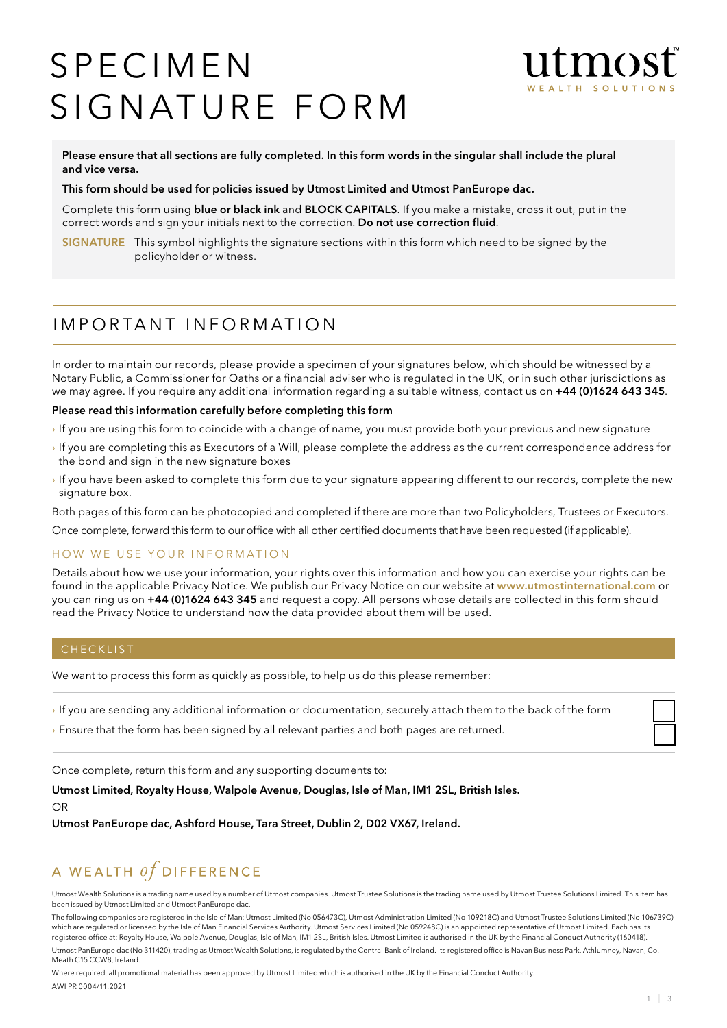# **SPECIMEN** SIGNATURE FORM



Please ensure that all sections are fully completed. In this form words in the singular shall include the plural and vice versa.

#### This form should be used for policies issued by Utmost Limited and Utmost PanEurope dac.

Complete this form using **blue or black ink** and **BLOCK CAPITALS**. If you make a mistake, cross it out, put in the correct words and sign your initials next to the correction. Do not use correction fluid.

SIGNATURE This symbol highlights the signature sections within this form which need to be signed by the policyholder or witness.

# I m p o r ta n t I n f o r m at i o n

In order to maintain our records, please provide a specimen of your signatures below, which should be witnessed by a Notary Public, a Commissioner for Oaths or a financial adviser who is regulated in the UK, or in such other jurisdictions as we may agree. If you require any additional information regarding a suitable witness, contact us on +44 (0)1624 643 345.

#### Please read this information carefully before completing this form

- › If you are using this form to coincide with a change of name, you must provide both your previous and new signature
- › If you are completing this as Executors of a Will, please complete the address as the current correspondence address for the bond and sign in the new signature boxes
- › If you have been asked to complete this form due to your signature appearing different to our records, complete the new signature box.

Both pages of this form can be photocopied and completed if there are more than two Policyholders, Trustees or Executors.

Once complete, forward this form to our office with all other certified documents that have been requested (if applicable).

### HOW WE USE YOUR INFORMATION

Details about how we use your information, your rights over this information and how you can exercise your rights can be found in the applicable Privacy Notice. We publish our Privacy Notice on our website at www.utmostinternational.com or you can ring us on +44 (0)1624 643 345 and request a copy. All persons whose details are collected in this form should read the Privacy Notice to understand how the data provided about them will be used.

#### CHECKLIST

We want to process this form as quickly as possible, to help us do this please remember:

› If you are sending any additional information or documentation, securely attach them to the back of the form

› Ensure that the form has been signed by all relevant parties and both pages are returned.

Once complete, return this form and any supporting documents to:

Utmost Limited, Royalty House, Walpole Avenue, Douglas, Isle of Man, IM1 2SL, British Isles. OR

Utmost PanEurope dac, Ashford House, Tara Street, Dublin 2, D02 VX67, Ireland.

# A WEALTH  $of$  DIFFERENCE

Utmost Wealth Solutions is a trading name used by a number of Utmost companies. Utmost Trustee Solutions is the trading name used by Utmost Trustee Solutions Limited. This item has been issued by Utmost Limited and Utmost PanEurope dac.

The following companies are registered in the Isle of Man: Utmost Limited (No 056473C), Utmost Administration Limited (No 109218C) and Utmost Trustee Solutions Limited (No 106739C) which are regulated or licensed by the Isle of Man Financial Services Authority. Utmost Services Limited (No 059248C) is an appointed representative of Utmost Limited. Each has its<br>registered office at: Royalty House, Walp

Utmost PanEurope dac (No 311420), trading as Utmost Wealth Solutions, is regulated by the Central Bank of Ireland. Its registered office is Navan Business Park, Athlumney, Navan, Co. Meath C15 CCW8, Ireland

Where required, all promotional material has been approved by Utmost Limited which is authorised in the UK by the Financial Conduct Authority. AWI PR 0004/11.2021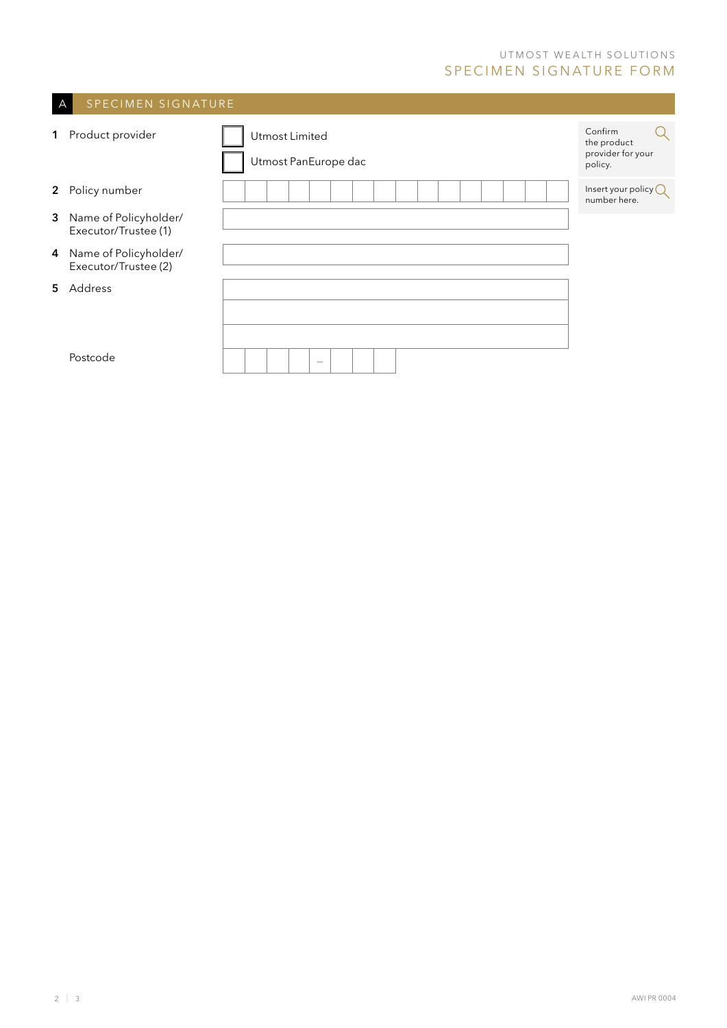## UTMOST WEALTH SOLUTIONS SPECIMEN SIGNATURE FORM

<u> 1989 - Johann Barnett, mars eta industrial eta industrial eta industrial eta industrial eta industrial eta i</u>

 $\mathcal{L}(\mathcal{A})$ 

| SPECIMEN SIGNATURE<br>A |                                               |                                        |                                                        |  |  |  |
|-------------------------|-----------------------------------------------|----------------------------------------|--------------------------------------------------------|--|--|--|
| 1                       | Product provider                              | Utmost Limited<br>Utmost PanEurope dac | Confirm<br>the product<br>provider for your<br>policy. |  |  |  |
| $\mathbf{2}$            | Policy number                                 |                                        | Insert your policy $\mathbb Q$<br>number here.         |  |  |  |
| $\mathbf{3}$            | Name of Policyholder/<br>Executor/Trustee (1) |                                        |                                                        |  |  |  |
| 4                       | Name of Policyholder/<br>Executor/Trustee (2) |                                        |                                                        |  |  |  |
| 5.                      | Address                                       |                                        |                                                        |  |  |  |
|                         |                                               |                                        |                                                        |  |  |  |
|                         | Postcode                                      | $\hspace{0.1mm}-\hspace{0.1mm}$        |                                                        |  |  |  |